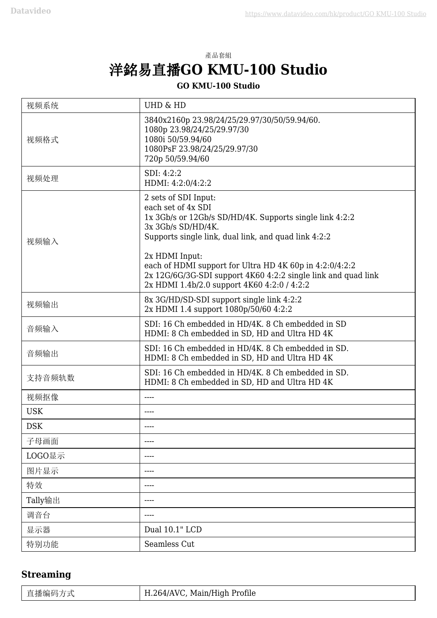## 產品套組 洋銘易直播**GO KMU-100 Studio**

#### **GO KMU-100 Studio**

| 视频系统       | <b>UHD &amp; HD</b>                                                                                                                                                                                                                                                                                                               |
|------------|-----------------------------------------------------------------------------------------------------------------------------------------------------------------------------------------------------------------------------------------------------------------------------------------------------------------------------------|
| 视频格式       | 3840x2160p 23.98/24/25/29.97/30/50/59.94/60.<br>1080p 23.98/24/25/29.97/30<br>1080i 50/59.94/60<br>1080PsF 23.98/24/25/29.97/30<br>720p 50/59.94/60                                                                                                                                                                               |
| 视频处理       | SDI: 4:2:2<br>HDMI: 4:2:0/4:2:2                                                                                                                                                                                                                                                                                                   |
| 视频输入       | 2 sets of SDI Input:<br>each set of 4x SDI<br>1x 3Gb/s or 12Gb/s SD/HD/4K. Supports single link 4:2:2<br>3x 3Gb/s SD/HD/4K.<br>Supports single link, dual link, and quad link 4:2:2<br>2x HDMI Input:<br>each of HDMI support for Ultra HD 4K 60p in 4:2:0/4:2:2<br>2x 12G/6G/3G-SDI support 4K60 4:2:2 single link and quad link |
|            | 2x HDMI 1.4b/2.0 support 4K60 4:2:0 / 4:2:2                                                                                                                                                                                                                                                                                       |
| 视频输出       | 8x 3G/HD/SD-SDI support single link 4:2:2<br>2x HDMI 1.4 support 1080p/50/60 4:2:2                                                                                                                                                                                                                                                |
| 音频输入       | SDI: 16 Ch embedded in HD/4K. 8 Ch embedded in SD<br>HDMI: 8 Ch embedded in SD, HD and Ultra HD 4K                                                                                                                                                                                                                                |
| 音频输出       | SDI: 16 Ch embedded in HD/4K. 8 Ch embedded in SD.<br>HDMI: 8 Ch embedded in SD, HD and Ultra HD 4K                                                                                                                                                                                                                               |
| 支持音频轨数     | SDI: 16 Ch embedded in HD/4K. 8 Ch embedded in SD.<br>HDMI: 8 Ch embedded in SD, HD and Ultra HD 4K                                                                                                                                                                                                                               |
| 视频抠像       |                                                                                                                                                                                                                                                                                                                                   |
| <b>USK</b> | ----                                                                                                                                                                                                                                                                                                                              |
| <b>DSK</b> |                                                                                                                                                                                                                                                                                                                                   |
| 子母画面       | ----                                                                                                                                                                                                                                                                                                                              |
| LOGO显示     | ----                                                                                                                                                                                                                                                                                                                              |
| 图片显示       | ----                                                                                                                                                                                                                                                                                                                              |
| 特效         | ----                                                                                                                                                                                                                                                                                                                              |
| Tally输出    | ----                                                                                                                                                                                                                                                                                                                              |
| 调音台        | ----                                                                                                                                                                                                                                                                                                                              |
| 显示器        | Dual 10.1" LCD                                                                                                                                                                                                                                                                                                                    |
| 特别功能       | Seamless Cut                                                                                                                                                                                                                                                                                                                      |

#### **Streaming**